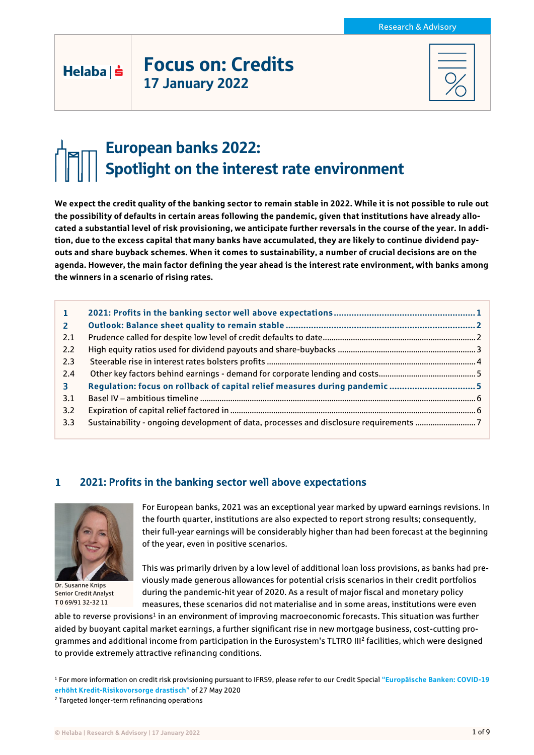## Focus on: Credits 17 January 2022

# European banks 2022: Spotlight on the interest rate environment

**We expect the credit quality of the banking sector to remain stable in 2022. While it is not possible to rule out the possibility of defaults in certain areas following the pandemic, given that institutions have already allocated a substantial level of risk provisioning, we anticipate further reversals in the course of the year. In addition, due to the excess capital that many banks have accumulated, they are likely to continue dividend payouts and share buyback schemes. When it comes to sustainability, a number of crucial decisions are on the agenda. However, the main factor defining the year ahead is the interest rate environment, with banks among the winners in a scenario of rising rates.**

| 1              |                                                                                       |  |
|----------------|---------------------------------------------------------------------------------------|--|
| $\overline{2}$ |                                                                                       |  |
| 2.1            |                                                                                       |  |
| 2.2            |                                                                                       |  |
| 2.3            |                                                                                       |  |
| 2.4            |                                                                                       |  |
| 3.             | Regulation: focus on rollback of capital relief measures during pandemic 5            |  |
| 3.1            |                                                                                       |  |
| 3.2            |                                                                                       |  |
| 3.3            | Sustainability - ongoing development of data, processes and disclosure requirements 7 |  |

#### $\mathbf{1}$ 2021: Profits in the banking sector well above expectations



 $Helaba| \dot{ }$ 

Dr. Susanne Knips Senior Credit Analyst T 0 69/91 32-32 11

For European banks, 2021 was an exceptional year marked by upward earnings revisions. In the fourth quarter, institutions are also expected to report strong results; consequently, their full-year earnings will be considerably higher than had been forecast at the beginning of the year, even in positive scenarios.

This was primarily driven by a low level of additional loan loss provisions, as banks had previously made generous allowances for potential crisis scenarios in their credit portfolios during the pandemic-hit year of 2020. As a result of major fiscal and monetary policy measures, these scenarios did not materialise and in some areas, institutions were even

able to reverse provisions<sup>1</sup> in an environment of improving macroeconomic forecasts. This situation was further aided by buoyant capital market earnings, a further significant rise in new mortgage business, cost-cutting programmes and additional income from participation in the Eurosystem's TLTRO III<sup>2</sup> facilities, which were designed to provide extremely attractive refinancing conditions.

<sup>1</sup> For more information on credit risk provisioning pursuant to IFRS9, please refer to our Credit Special **"[Europäische Banken: COVID-19](https://www.helaba.de/blueprint/servlet/resource/blob/docs/527398/e1bd77ef916698bfc286d0a4cd025e77/cs-20200527-data.pdf)  [erhöht Kredit-Risikovorsorge drastisch](https://www.helaba.de/blueprint/servlet/resource/blob/docs/527398/e1bd77ef916698bfc286d0a4cd025e77/cs-20200527-data.pdf)"** of 27 May 2020

<sup>2</sup> Targeted longer-term refinancing operations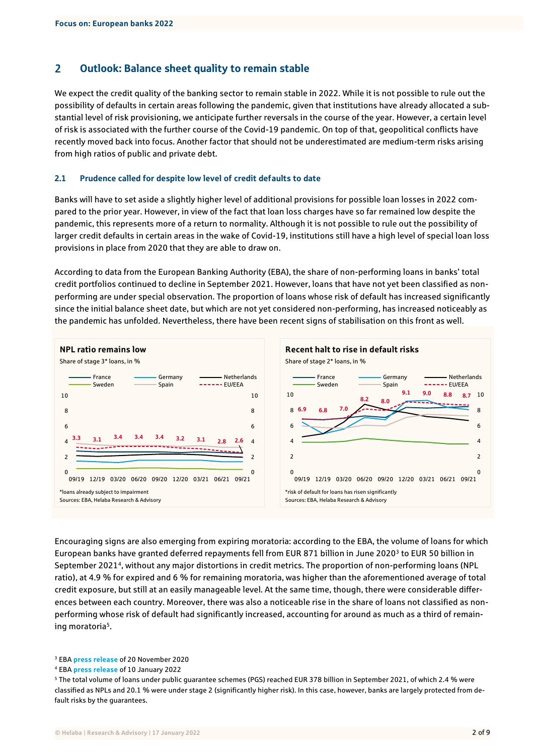#### $\overline{2}$ Outlook: Balance sheet quality to remain stable

We expect the credit quality of the banking sector to remain stable in 2022. While it is not possible to rule out the possibility of defaults in certain areas following the pandemic, given that institutions have already allocated a substantial level of risk provisioning, we anticipate further reversals in the course of the year. However, a certain level of risk is associated with the further course of the Covid-19 pandemic. On top of that, geopolitical conflicts have recently moved back into focus. Another factor that should not be underestimated are medium-term risks arising from high ratios of public and private debt.

#### 2.1 Prudence called for despite low level of credit defaults to date

Banks will have to set aside a slightly higher level of additional provisions for possible loan losses in 2022 compared to the prior year. However, in view of the fact that loan loss charges have so far remained low despite the pandemic, this represents more of a return to normality. Although it is not possible to rule out the possibility of larger credit defaults in certain areas in the wake of Covid-19, institutions still have a high level of special loan loss provisions in place from 2020 that they are able to draw on.

According to data from the European Banking Authority (EBA), the share of non-performing loans in banks' total credit portfolios continued to decline in September 2021. However, loans that have not yet been classified as nonperforming are under special observation. The proportion of loans whose risk of default has increased significantly since the initial balance sheet date, but which are not yet considered non-performing, has increased noticeably as the pandemic has unfolded. Nevertheless, there have been recent signs of stabilisation on this front as well.



Encouraging signs are also emerging from expiring moratoria: according to the EBA, the volume of loans for which European banks have granted deferred repayments fell from EUR 871 billion in June 2020<sup>3</sup> to EUR 50 billion in September 2021<sup>4</sup> , without any major distortions in credit metrics. The proportion of non-performing loans (NPL ratio), at 4.9 % for expired and 6 % for remaining moratoria, was higher than the aforementioned average of total credit exposure, but still at an easily manageable level. At the same time, though, there were considerable differences between each country. Moreover, there was also a noticeable rise in the share of loans not classified as nonperforming whose risk of default had significantly increased, accounting for around as much as a third of remaining moratoria<sup>5</sup>.

<sup>3</sup> EBA **[press release](https://www.eba.europa.eu/banks-report-significant-use-covid-19-moratoria-and-public-guarantees)** of 20 November 2020

<sup>4</sup> EBA **[press release](https://www.eba.europa.eu/asset-quality-has-further-improved-cyber-risk-remains-source-concern-eu-banks)** of 10 January 2022

<sup>5</sup> The total volume of loans under public guarantee schemes (PGS) reached EUR 378 billion in September 2021, of which 2.4 % were classified as NPLs and 20.1 % were under stage 2 (significantly higher risk). In this case, however, banks are largely protected from default risks by the guarantees.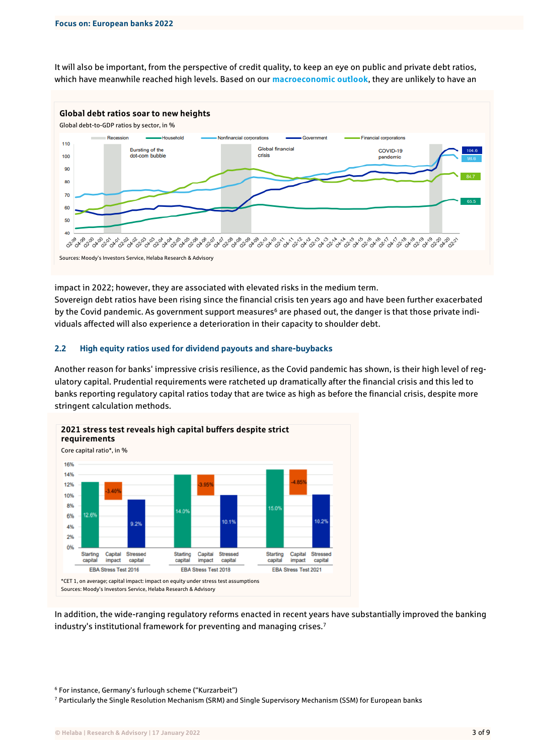It will also be important, from the perspective of credit quality, to keep an eye on public and private debt ratios, which have meanwhile reached high levels. Based on our **[macroeconomic outlook](https://www.helaba.com/media/docs/int/research/markets-and-trends/capital-market-outlook-2022.pdf)**, they are unlikely to have an



impact in 2022; however, they are associated with elevated risks in the medium term. Sovereign debt ratios have been rising since the financial crisis ten years ago and have been further exacerbated by the Covid pandemic. As government support measures<sup>6</sup> are phased out, the danger is that those private individuals affected will also experience a deterioration in their capacity to shoulder debt.

### 2.2 High equity ratios used for dividend payouts and share-buybacks

Another reason for banks' impressive crisis resilience, as the Covid pandemic has shown, is their high level of regulatory capital. Prudential requirements were ratcheted up dramatically after the financial crisis and this led to banks reporting regulatory capital ratios today that are twice as high as before the financial crisis, despite more stringent calculation methods.



In addition, the wide-ranging regulatory reforms enacted in recent years have substantially improved the banking industry's institutional framework for preventing and managing crises.<sup>7</sup>

<sup>6</sup> For instance, Germany's furlough scheme ("Kurzarbeit")

<sup>7</sup> Particularly the Single Resolution Mechanism (SRM) and Single Supervisory Mechanism (SSM) for European banks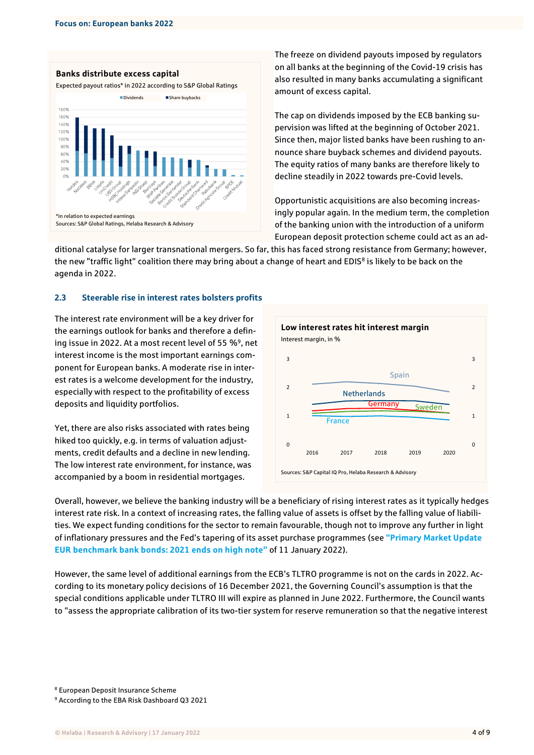

The freeze on dividend payouts imposed by regulators on all banks at the beginning of the Covid-19 crisis has also resulted in many banks accumulating a significant amount of excess capital.

The cap on dividends imposed by the ECB banking supervision was lifted at the beginning of October 2021. Since then, major listed banks have been rushing to announce share buyback schemes and dividend payouts. The equity ratios of many banks are therefore likely to decline steadily in 2022 towards pre-Covid levels.

Opportunistic acquisitions are also becoming increasingly popular again. In the medium term, the completion of the banking union with the introduction of a uniform European deposit protection scheme could act as an ad-

ditional catalyse for larger transnational mergers. So far, this has faced strong resistance from Germany; however, the new "traffic light" coalition there may bring about a change of heart and EDIS<sup>8</sup> is likely to be back on the agenda in 2022.

### 2.3 Steerable rise in interest rates bolsters profits

The interest rate environment will be a key driver for the earnings outlook for banks and therefore a defining issue in 2022. At a most recent level of 55 %<sup>9</sup>, net interest income is the most important earnings component for European banks. A moderate rise in interest rates is a welcome development for the industry, especially with respect to the profitability of excess deposits and liquidity portfolios.

Yet, there are also risks associated with rates being hiked too quickly, e.g. in terms of valuation adjustments, credit defaults and a decline in new lending. The low interest rate environment, for instance, was accompanied by a boom in residential mortgages.



Overall, however, we believe the banking industry will be a beneficiary of rising interest rates as it typically hedges interest rate risk. In a context of increasing rates, the falling value of assets is offset by the falling value of liabilities. We expect funding conditions for the sector to remain favourable, though not to improve any further in light of inflationary pressures and the Fed's tapering of its asset purchase programmes (see **["Primary Market Update](https://www.helaba.com/media/docs/extern/research/en_publikationen/credits_covered_bonds/577686.php)  [EUR benchmark bank bonds: 2021 ends on high note"](https://www.helaba.com/media/docs/extern/research/en_publikationen/credits_covered_bonds/577686.php)** of 11 January 2022).

However, the same level of additional earnings from the ECB's TLTRO programme is not on the cards in 2022. According to its monetary policy decisions of 16 December 2021, the Governing Council's assumption is that the special conditions applicable under TLTRO III will expire as planned in June 2022. Furthermore, the Council wants to "assess the appropriate calibration of its two-tier system for reserve remuneration so that the negative interest

<sup>8</sup> European Deposit Insurance Scheme

<sup>9</sup> According to the EBA Risk Dashboard Q3 2021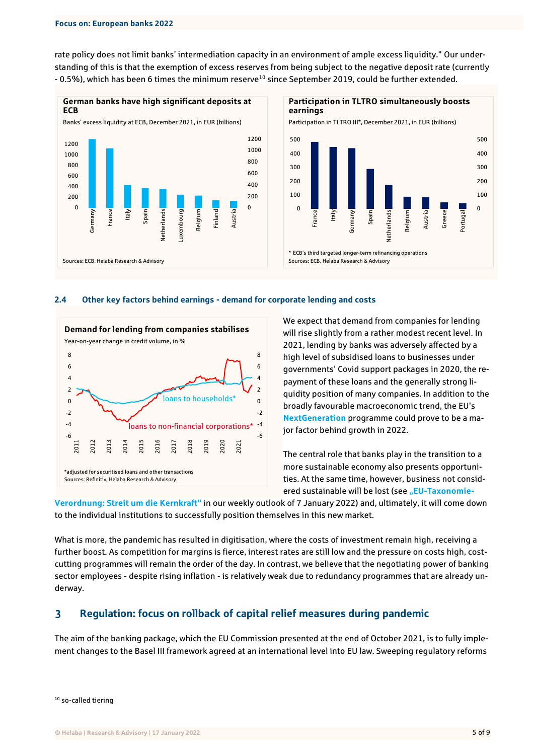rate policy does not limit banks' intermediation capacity in an environment of ample excess liquidity." Our understanding of this is that the exemption of excess reserves from being subject to the negative deposit rate (currently - 0.5%), which has been 6 times the minimum reserve<sup>10</sup> since September 2019, could be further extended.





### 2.4 Other key factors behind earnings - demand for corporate lending and costs



We expect that demand from companies for lending will rise slightly from a rather modest recent level. In 2021, lending by banks was adversely affected by a high level of subsidised loans to businesses under governments' Covid support packages in 2020, the repayment of these loans and the generally strong liquidity position of many companies. In addition to the broadly favourable macroeconomic trend, the EU's **[NextGeneration](https://europa.eu/next-generation-eu/index_en)** programme could prove to be a major factor behind growth in 2022.

The central role that banks play in the transition to a more sustainable economy also presents opportunities. At the same time, however, business not consid-ered sustainable will be lost (see "EU[-Taxonomie-](https://www.helaba.de/blueprint/servlet/resource/blob/docs/577508/f79be5021695736642a911e3ceb97139/wochenausblick-20220107-data.pdf)

**[Verordnung: Streit um die Kernkraft"](https://www.helaba.de/blueprint/servlet/resource/blob/docs/577508/f79be5021695736642a911e3ceb97139/wochenausblick-20220107-data.pdf)** in our weekly outlook of 7 January 2022) and, ultimately, it will come down to the individual institutions to successfully position themselves in this new market.

What is more, the pandemic has resulted in digitisation, where the costs of investment remain high, receiving a further boost. As competition for margins is fierce, interest rates are still low and the pressure on costs high, costcutting programmes will remain the order of the day. In contrast, we believe that the negotiating power of banking sector employees - despite rising inflation - is relatively weak due to redundancy programmes that are already underway.

#### $\overline{\mathbf{3}}$ Regulation: focus on rollback of capital relief measures during pandemic

The aim of the banking package, which the EU Commission presented at the end of October 2021, is to fully implement changes to the Basel III framework agreed at an international level into EU law. Sweeping regulatory reforms

<sup>10</sup> so-called tiering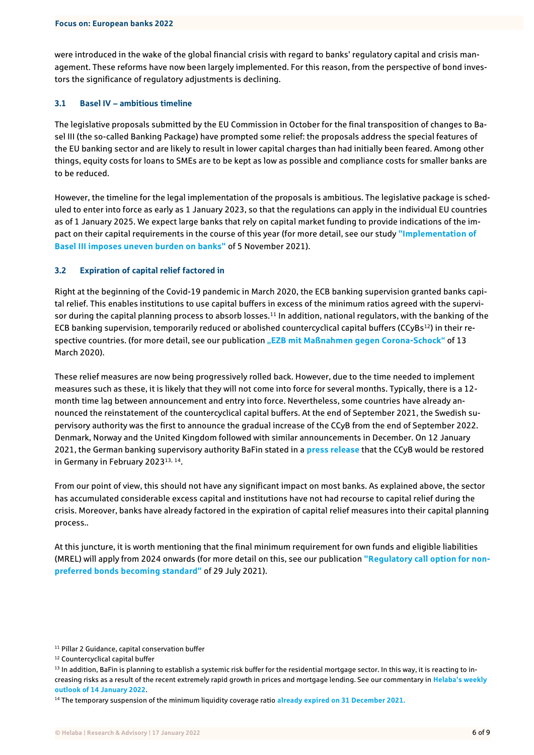were introduced in the wake of the global financial crisis with regard to banks' regulatory capital and crisis management. These reforms have now been largely implemented. For this reason, from the perspective of bond investors the significance of regulatory adjustments is declining.

#### 3.1 Basel IV – ambitious timeline

The legislative proposals submitted by the EU Commission in October for the final transposition of changes to Basel III (the so-called Banking Package) have prompted some relief: the proposals address the special features of the EU banking sector and are likely to result in lower capital charges than had initially been feared. Among other things, equity costs for loans to SMEs are to be kept as low as possible and compliance costs for smaller banks are to be reduced.

However, the timeline for the legal implementation of the proposals is ambitious. The legislative package is scheduled to enter into force as early as 1 January 2023, so that the regulations can apply in the individual EU countries as of 1 January 2025. We expect large banks that rely on capital market funding to provide indications of the impact on their capital requirements in the course of this year (for more detail, see our study **["Implementation of](https://www.helaba.de/blueprint/servlet/resource/blob/docs/571894/5277a5199d641ca029dd10e529881b05/cs-20211105-en-data.pdf)  [Basel III imposes uneven burden on banks"](https://www.helaba.de/blueprint/servlet/resource/blob/docs/571894/5277a5199d641ca029dd10e529881b05/cs-20211105-en-data.pdf)** of 5 November 2021).

### 3.2 Expiration of capital relief factored in

Right at the beginning of the Covid-19 pandemic in March 2020, the ECB banking supervision granted banks capital relief. This enables institutions to use capital buffers in excess of the minimum ratios agreed with the supervisor during the capital planning process to absorb losses.<sup>11</sup> In addition, national regulators, with the banking of the ECB banking supervision, temporarily reduced or abolished countercyclical capital buffers (CCyBs<sup>12</sup>) in their respective countries. (for more detail, see our publication **["EZB mit Maßnahmen gegen Corona](https://www.helaba.de/blueprint/servlet/resource/blob/docs/521080/c4fc336782fe2ff8d032e58df6bf08fe/cs-20200313-data.pdf)-Schock"** of 13 March 2020).

These relief measures are now being progressively rolled back. However, due to the time needed to implement measures such as these, it is likely that they will not come into force for several months. Typically, there is a 12 month time lag between announcement and entry into force. Nevertheless, some countries have already announced the reinstatement of the countercyclical capital buffers. At the end of September 2021, the Swedish supervisory authority was the first to announce the gradual increase of the CCyB from the end of September 2022. Denmark, Norway and the United Kingdom followed with similar announcements in December. On 12 January 2021, the German banking supervisory authority BaFin stated in a **[press release](https://www.bafin.de/SharedDocs/Veroeffentlichungen/DE/Pressemitteilung/2022/pm_antizyklischer_Kapitalpuffer.html)** that the CCyB would be restored in Germany in February 202313, 14.

From our point of view, this should not have any significant impact on most banks. As explained above, the sector has accumulated considerable excess capital and institutions have not had recourse to capital relief during the crisis. Moreover, banks have already factored in the expiration of capital relief measures into their capital planning process..

At this juncture, it is worth mentioning that the final minimum requirement for own funds and eligible liabilities (MREL) will apply from 2024 onwards (for more detail on this, see our publication **["Regulatory call option for non](https://www.helaba.de/blueprint/servlet/resource/blob/docs/560508/71b4e8522fd9642ad034fec9cfc78b6d/cs-20210803-en-data.pdf)[preferred bonds becoming standard"](https://www.helaba.de/blueprint/servlet/resource/blob/docs/560508/71b4e8522fd9642ad034fec9cfc78b6d/cs-20210803-en-data.pdf)** of 29 July 2021).

<sup>&</sup>lt;sup>11</sup> Pillar 2 Guidance, capital conservation buffer

<sup>&</sup>lt;sup>12</sup> Countercyclical capital buffer

<sup>&</sup>lt;sup>13</sup> In addition, BaFin is planning to establish a systemic risk buffer for the residential mortgage sector. In this way, it is reacting to increasing risks as a result of the recent extremely rapid growth in prices and mortgage lending. See our commentary in **[Helaba's weekly](https://www.helaba.de/blueprint/servlet/resource/blob/docs/577942/77e68c930be9db8d60859033dabe29ef/wochenausblick-20220113-data.pdf)  [outlook of 14 January 2022](https://www.helaba.de/blueprint/servlet/resource/blob/docs/577942/77e68c930be9db8d60859033dabe29ef/wochenausblick-20220113-data.pdf)**.

<sup>14</sup> The temporary suspension of the minimum liquidity coverage ratio **[already expired on 31 December 2021.](https://www.bankingsupervision.europa.eu/press/pr/date/2021/html/ssm.pr211217~39656a78e8.en.html)**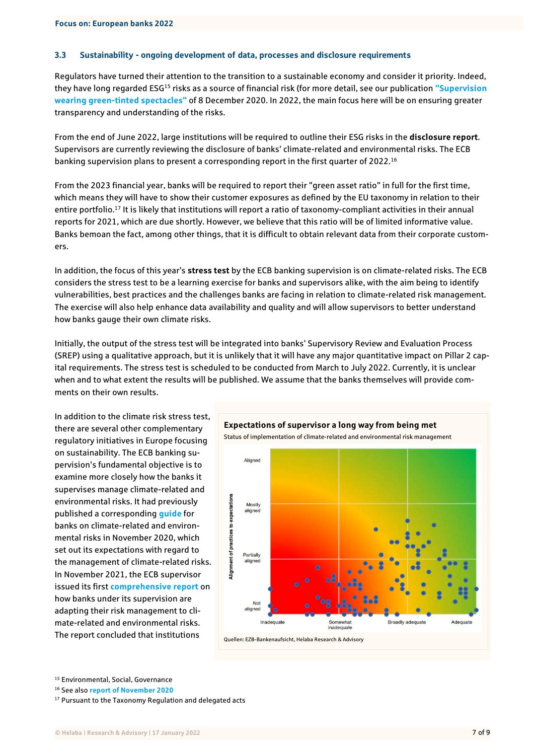### 3.3 Sustainability - ongoing development of data, processes and disclosure requirements

Regulators have turned their attention to the transition to a sustainable economy and consider it priority. Indeed, they have long regarded ESG<sup>15</sup> risks as a source of financial risk (for more detail, see our publication **["Supervision](https://www.helaba.de/blueprint/servlet/resource/blob/docs/541298/fdea3ae2d09545c0ab43288d318fe454/cs-20201215-data.pdf)  [wearing green-tinted spectacles"](https://www.helaba.de/blueprint/servlet/resource/blob/docs/541298/fdea3ae2d09545c0ab43288d318fe454/cs-20201215-data.pdf)** of 8 December 2020. In 2022, the main focus here will be on ensuring greater transparency and understanding of the risks.

From the end of June 2022, large institutions will be required to outline their ESG risks in the **disclosure report**. Supervisors are currently reviewing the disclosure of banks' climate-related and environmental risks. The ECB banking supervision plans to present a corresponding report in the first quarter of 2022.<sup>16</sup>

From the 2023 financial year, banks will be required to report their "green asset ratio" in full for the first time, which means they will have to show their customer exposures as defined by the EU taxonomy in relation to their entire portfolio.<sup>17</sup> It is likely that institutions will report a ratio of taxonomy-compliant activities in their annual reports for 2021, which are due shortly. However, we believe that this ratio will be of limited informative value. Banks bemoan the fact, among other things, that it is difficult to obtain relevant data from their corporate customers.

In addition, the focus of this year's **stress test** by the ECB banking supervision is on climate-related risks. The ECB considers the stress test to be a learning exercise for banks and supervisors alike, with the aim being to identify vulnerabilities, best practices and the challenges banks are facing in relation to climate-related risk management. The exercise will also help enhance data availability and quality and will allow supervisors to better understand how banks gauge their own climate risks.

Initially, the output of the stress test will be integrated into banks' Supervisory Review and Evaluation Process (SREP) using a qualitative approach, but it is unlikely that it will have any major quantitative impact on Pillar 2 capital requirements. The stress test is scheduled to be conducted from March to July 2022. Currently, it is unclear when and to what extent the results will be published. We assume that the banks themselves will provide comments on their own results.

In addition to the climate risk stress test, there are several other complementary regulatory initiatives in Europe focusing on sustainability. The ECB banking supervision's fundamental objective is to examine more closely how the banks it supervises manage climate-related and environmental risks. It had previously published a corresponding **[guide](https://www.bankingsupervision.europa.eu/ecb/pub/pdf/ssm.202011finalguideonclimate-relatedandenvironmentalrisks~58213f6564.en.pdf)** for banks on climate-related and environmental risks in November 2020, which set out its expectations with regard to the management of climate-related risks. In November 2021, the ECB supervisor issued its first **[comprehensive report](https://www.bankingsupervision.europa.eu/press/pr/date/2021/html/ssm.pr211122~6984de0ae5.de.html)** on how banks under its supervision are adapting their risk management to climate-related and environmental risks. The report concluded that institutions



<sup>15</sup> Environmental, Social, Governance

<sup>16</sup> See also **[report of November 2020](https://www.bankingsupervision.europa.eu/ecb/pub/pdf/ssm.ecbreportinstitutionsclimaterelatedenvironmentalriskdisclosures202011~e8e2ad20f6.en.pdf)**

<sup>&</sup>lt;sup>17</sup> Pursuant to the Taxonomy Regulation and delegated acts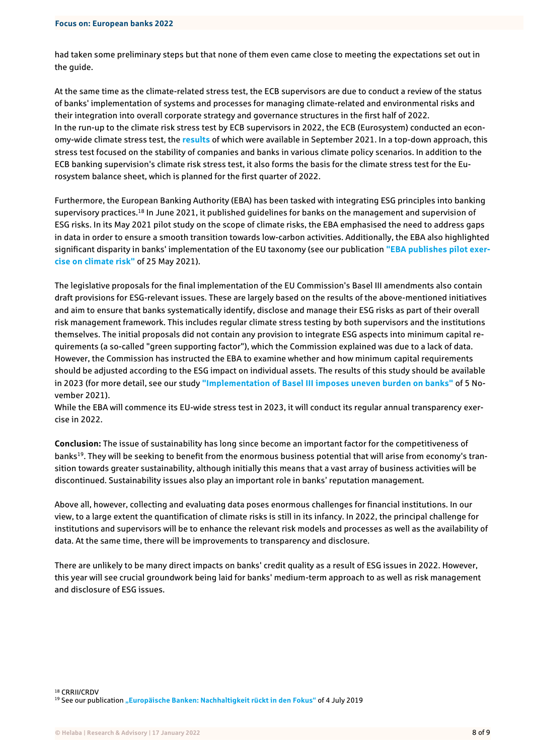had taken some preliminary steps but that none of them even came close to meeting the expectations set out in the guide.

At the same time as the climate-related stress test, the ECB supervisors are due to conduct a review of the status of banks' implementation of systems and processes for managing climate-related and environmental risks and their integration into overall corporate strategy and governance structures in the first half of 2022. In the run-up to the climate risk stress test by ECB supervisors in 2022, the ECB (Eurosystem) conducted an economy-wide climate stress test, the **[results](https://www.ecb.europa.eu/press/pr/date/2021/html/ecb.pr210922~59ade4710b.en.html)** of which were available in September 2021. In a top-down approach, this stress test focused on the stability of companies and banks in various climate policy scenarios. In addition to the ECB banking supervision's climate risk stress test, it also forms the basis for the climate stress test for the Eurosystem balance sheet, which is planned for the first quarter of 2022.

Furthermore, the European Banking Authority (EBA) has been tasked with integrating ESG principles into banking supervisory practices.<sup>18</sup> In June 2021, it published quidelines for banks on the management and supervision of ESG risks. In its May 2021 pilot study on the scope of climate risks, the EBA emphasised the need to address gaps in data in order to ensure a smooth transition towards low-carbon activities. Additionally, the EBA also highlighted significant disparity in banks' implementation of the EU taxonomy (see our publication **["EBA publishes pilot exer](https://www.helaba.de/blueprint/servlet/resource/blob/docs/555418/a467884576567fffccabfe2124aece3a/cs-20210526-data.pdf)[cise on climate risk"](https://www.helaba.de/blueprint/servlet/resource/blob/docs/555418/a467884576567fffccabfe2124aece3a/cs-20210526-data.pdf)** of 25 May 2021).

The legislative proposals for the final implementation of the EU Commission's Basel III amendments also contain draft provisions for ESG-relevant issues. These are largely based on the results of the above-mentioned initiatives and aim to ensure that banks systematically identify, disclose and manage their ESG risks as part of their overall risk management framework. This includes regular climate stress testing by both supervisors and the institutions themselves. The initial proposals did not contain any provision to integrate ESG aspects into minimum capital requirements (a so-called "green supporting factor"), which the Commission explained was due to a lack of data. However, the Commission has instructed the EBA to examine whether and how minimum capital requirements should be adjusted according to the ESG impact on individual assets. The results of this study should be available in 2023 (for more detail, see our study **["Implementation of Basel III imposes uneven burden on banks"](https://www.helaba.de/blueprint/servlet/resource/blob/docs/571894/5277a5199d641ca029dd10e529881b05/cs-20211105-en-data.pdf)** of 5 November 2021).

While the EBA will commence its EU-wide stress test in 2023, it will conduct its regular annual transparency exercise in 2022.

**Conclusion:** The issue of sustainability has long since become an important factor for the competitiveness of banks<sup>19</sup>. They will be seeking to benefit from the enormous business potential that will arise from economy's transition towards greater sustainability, although initially this means that a vast array of business activities will be discontinued. Sustainability issues also play an important role in banks' reputation management.

Above all, however, collecting and evaluating data poses enormous challenges for financial institutions. In our view, to a large extent the quantification of climate risks is still in its infancy. In 2022, the principal challenge for institutions and supervisors will be to enhance the relevant risk models and processes as well as the availability of data. At the same time, there will be improvements to transparency and disclosure.

There are unlikely to be many direct impacts on banks' credit quality as a result of ESG issues in 2022. However, this year will see crucial groundwork being laid for banks' medium-term approach to as well as risk management and disclosure of ESG issues.